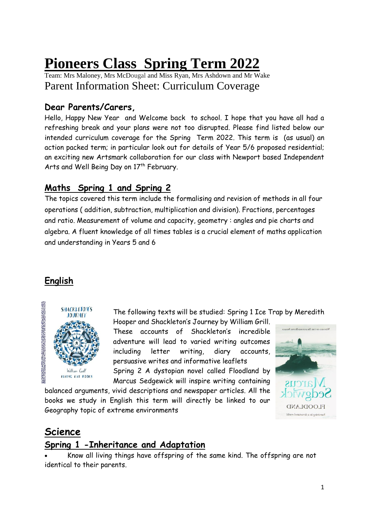# **Pioneers Class Spring Term 2022**

Team: Mrs Maloney, Mrs McDougal and Miss Ryan, Mrs Ashdown and Mr Wake Parent Information Sheet: Curriculum Coverage

# **Dear Parents/Carers,**

Hello, Happy New Year and Welcome back to school. I hope that you have all had a refreshing break and your plans were not too disrupted. Please find listed below our intended curriculum coverage for the Spring Term 2022. This term is (as usual) an action packed term; in particular look out for details of Year 5/6 proposed residential; an exciting new Artsmark collaboration for our class with Newport based Independent Arts and Well Being Day on 17<sup>th</sup> February.

# **Maths Spring 1 and Spring 2**

The topics covered this term include the formalising and revision of methods in all four operations ( addition, subtraction, multiplication and division). Fractions, percentages and ratio. Measurement of volume and capacity, geometry : angles and pie charts and algebra. A fluent knowledge of all times tables is a crucial element of maths application and understanding in Years 5 and 6

# **English**



The following texts will be studied: Spring 1 Ice Trap by Meredith

Hooper and Shackleton's Journey by William Grill. These accounts of Shackleton's incredible adventure will lead to varied writing outcomes including letter writing, diary accounts, persuasive writes and informative leaflets

Spring 2 A dystopian novel called Floodland by Marcus Sedgewick will inspire writing containing

balanced arguments, vivid descriptions and newspaper articles. All the books we study in English this term will directly be linked to our Geography topic of extreme environments



# **Science**

# **Spring 1 -Inheritance and Adaptation**

 Know all living things have offspring of the same kind. The offspring are not identical to their parents.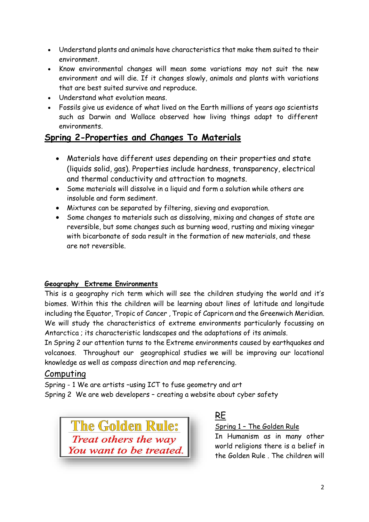- Understand plants and animals have characteristics that make them suited to their environment.
- Know environmental changes will mean some variations may not suit the new environment and will die. If it changes slowly, animals and plants with variations that are best suited survive and reproduce.
- Understand what evolution means.
- Fossils give us evidence of what lived on the Earth millions of years ago scientists such as Darwin and Wallace observed how living things adapt to different environments.

# **Spring 2-Properties and Changes To Materials**

- Materials have different uses depending on their properties and state (liquids solid, gas). Properties include hardness, transparency, electrical and thermal conductivity and attraction to magnets.
- Some materials will dissolve in a liquid and form a solution while others are insoluble and form sediment.
- Mixtures can be separated by filtering, sieving and evaporation.
- Some changes to materials such as dissolving, mixing and changes of state are reversible, but some changes such as burning wood, rusting and mixing vinegar with bicarbonate of soda result in the formation of new materials, and these are not reversible.

## **Geography Extreme Environments**

This is a geography rich term which will see the children studying the world and it's biomes. Within this the children will be learning about lines of latitude and longitude including the Equator, Tropic of Cancer , Tropic of Capricorn and the Greenwich Meridian. We will study the characteristics of extreme environments particularly focussing on Antarctica ; its characteristic landscapes and the adaptations of its animals.

In Spring 2 our attention turns to the Extreme environments caused by earthquakes and volcanoes. Throughout our geographical studies we will be improving our locational knowledge as well as compass direction and map referencing.

## Computing

Spring - 1 We are artists –using ICT to fuse geometry and art Spring 2 We are web developers – creating a website about cyber safety



## RE

Spring 1 – The Golden Rule

In Humanism as in many other world religions there is a belief in the Golden Rule . The children will